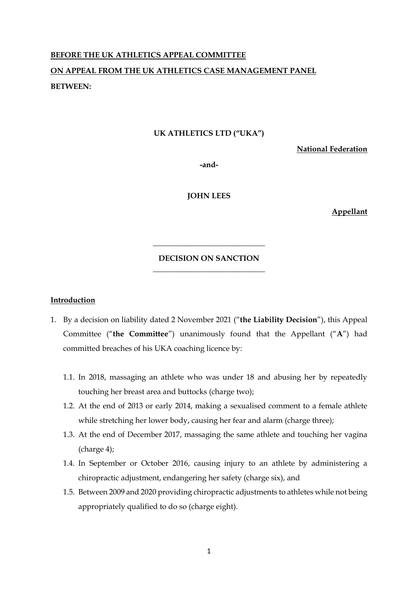# **BEFORE THE UK ATHLETICS APPEAL COMMITTEE ON APPEAL FROM THE UK ATHLETICS CASE MANAGEMENT PANEL BETWEEN:**

### **UK ATHLETICS LTD ("UKA")**

**National Federation**

**-and-**

**JOHN LEES**

**Appellant**

## **DECISION ON SANCTION \_\_\_\_\_\_\_\_\_\_\_\_\_\_\_\_\_\_\_\_\_\_\_\_\_\_\_\_\_**

**\_\_\_\_\_\_\_\_\_\_\_\_\_\_\_\_\_\_\_\_\_\_\_\_\_\_\_\_\_**

#### **Introduction**

- 1. By a decision on liability dated 2 November 2021 ("**the Liability Decision**"), this Appeal Committee ("**the Committee**") unanimously found that the Appellant ("**A**") had committed breaches of his UKA coaching licence by:
	- 1.1. In 2018, massaging an athlete who was under 18 and abusing her by repeatedly touching her breast area and buttocks (charge two);
	- 1.2. At the end of 2013 or early 2014, making a sexualised comment to a female athlete while stretching her lower body, causing her fear and alarm (charge three);
	- 1.3. At the end of December 2017, massaging the same athlete and touching her vagina (charge 4);
	- 1.4. In September or October 2016, causing injury to an athlete by administering a chiropractic adjustment, endangering her safety (charge six), and
	- 1.5. Between 2009 and 2020 providing chiropractic adjustments to athletes while not being appropriately qualified to do so (charge eight).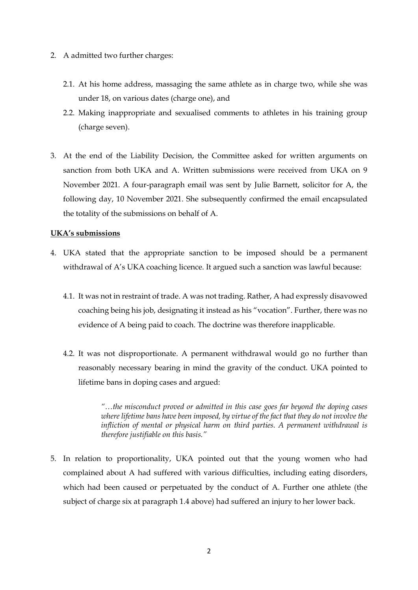- 2. A admitted two further charges:
	- 2.1. At his home address, massaging the same athlete as in charge two, while she was under 18, on various dates (charge one), and
	- 2.2. Making inappropriate and sexualised comments to athletes in his training group (charge seven).
- 3. At the end of the Liability Decision, the Committee asked for written arguments on sanction from both UKA and A. Written submissions were received from UKA on 9 November 2021. A four-paragraph email was sent by Julie Barnett, solicitor for A, the following day, 10 November 2021. She subsequently confirmed the email encapsulated the totality of the submissions on behalf of A.

## **UKA's submissions**

- 4. UKA stated that the appropriate sanction to be imposed should be a permanent withdrawal of A's UKA coaching licence. It argued such a sanction was lawful because:
	- 4.1. It was not in restraint of trade. A was not trading. Rather, A had expressly disavowed coaching being his job, designating it instead as his "vocation". Further, there was no evidence of A being paid to coach. The doctrine was therefore inapplicable.
	- 4.2. It was not disproportionate. A permanent withdrawal would go no further than reasonably necessary bearing in mind the gravity of the conduct. UKA pointed to lifetime bans in doping cases and argued:

*"…the misconduct proved or admitted in this case goes far beyond the doping cases where lifetime bans have been imposed, by virtue of the fact that they do not involve the infliction of mental or physical harm on third parties. A permanent withdrawal is therefore justifiable on this basis."*

5. In relation to proportionality, UKA pointed out that the young women who had complained about A had suffered with various difficulties, including eating disorders, which had been caused or perpetuated by the conduct of A. Further one athlete (the subject of charge six at paragraph 1.4 above) had suffered an injury to her lower back.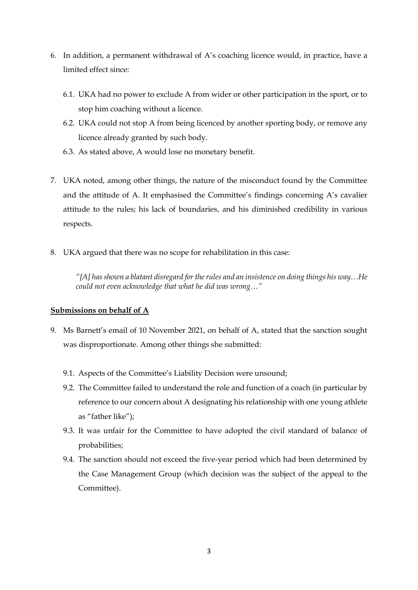- 6. In addition, a permanent withdrawal of A's coaching licence would, in practice, have a limited effect since:
	- 6.1. UKA had no power to exclude A from wider or other participation in the sport, or to stop him coaching without a licence.
	- 6.2. UKA could not stop A from being licenced by another sporting body, or remove any licence already granted by such body.
	- 6.3. As stated above, A would lose no monetary benefit.
- 7. UKA noted, among other things, the nature of the misconduct found by the Committee and the attitude of A. It emphasised the Committee's findings concerning A's cavalier attitude to the rules; his lack of boundaries, and his diminished credibility in various respects.
- 8. UKA argued that there was no scope for rehabilitation in this case:

*"[A] has shown a blatant disregard for the rules and an insistence on doing things his way…He could not even acknowledge that what he did was wrong…"*

## **Submissions on behalf of A**

- 9. Ms Barnett's email of 10 November 2021, on behalf of A, stated that the sanction sought was disproportionate. Among other things she submitted:
	- 9.1. Aspects of the Committee's Liability Decision were unsound;
	- 9.2. The Committee failed to understand the role and function of a coach (in particular by reference to our concern about A designating his relationship with one young athlete as "father like");
	- 9.3. It was unfair for the Committee to have adopted the civil standard of balance of probabilities;
	- 9.4. The sanction should not exceed the five-year period which had been determined by the Case Management Group (which decision was the subject of the appeal to the Committee).